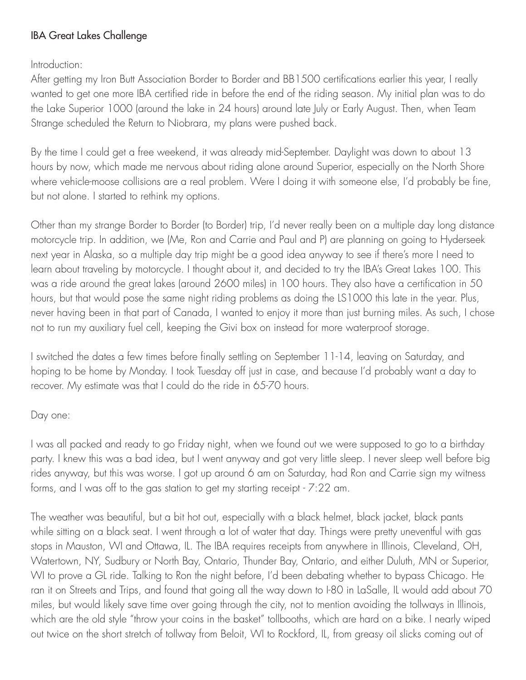## IBA Great Lakes Challenge

Introduction:

After getting my Iron Butt Association Border to Border and BB1500 certifications earlier this year, I really wanted to get one more IBA certified ride in before the end of the riding season. My initial plan was to do the Lake Superior 1000 (around the lake in 24 hours) around late July or Early August. Then, when Team Strange scheduled the Return to Niobrara, my plans were pushed back.

By the time I could get a free weekend, it was already mid-September. Daylight was down to about 13 hours by now, which made me nervous about riding alone around Superior, especially on the North Shore where vehicle-moose collisions are a real problem. Were I doing it with someone else, I'd probably be fine, but not alone. I started to rethink my options.

Other than my strange Border to Border (to Border) trip, I'd never really been on a multiple day long distance motorcycle trip. In addition, we (Me, Ron and Carrie and Paul and P) are planning on going to Hyderseek next year in Alaska, so a multiple day trip might be a good idea anyway to see if there's more I need to learn about traveling by motorcycle. I thought about it, and decided to try the IBA's Great Lakes 100. This was a ride around the great lakes (around 2600 miles) in 100 hours. They also have a certification in 50 hours, but that would pose the same night riding problems as doing the LS1000 this late in the year. Plus, never having been in that part of Canada, I wanted to enjoy it more than just burning miles. As such, I chose not to run my auxiliary fuel cell, keeping the Givi box on instead for more waterproof storage.

I switched the dates a few times before finally settling on September 11-14, leaving on Saturday, and hoping to be home by Monday. I took Tuesday off just in case, and because I'd probably want a day to recover. My estimate was that I could do the ride in 65-70 hours.

## Day one:

I was all packed and ready to go Friday night, when we found out we were supposed to go to a birthday party. I knew this was a bad idea, but I went anyway and got very little sleep. I never sleep well before big rides anyway, but this was worse. I got up around 6 am on Saturday, had Ron and Carrie sign my witness forms, and I was off to the gas station to get my starting receipt - 7:22 am.

The weather was beautiful, but a bit hot out, especially with a black helmet, black jacket, black pants while sitting on a black seat. I went through a lot of water that day. Things were pretty uneventful with gas stops in Mauston, WI and Ottawa, IL. The IBA requires receipts from anywhere in Illinois, Cleveland, OH, Watertown, NY, Sudbury or North Bay, Ontario, Thunder Bay, Ontario, and either Duluth, MN or Superior, WI to prove a GL ride. Talking to Ron the night before, I'd been debating whether to bypass Chicago. He ran it on Streets and Trips, and found that going all the way down to I-80 in LaSalle, IL would add about 70 miles, but would likely save time over going through the city, not to mention avoiding the tollways in Illinois, which are the old style "throw your coins in the basket" tollbooths, which are hard on a bike. I nearly wiped out twice on the short stretch of tollway from Beloit, WI to Rockford, IL, from greasy oil slicks coming out of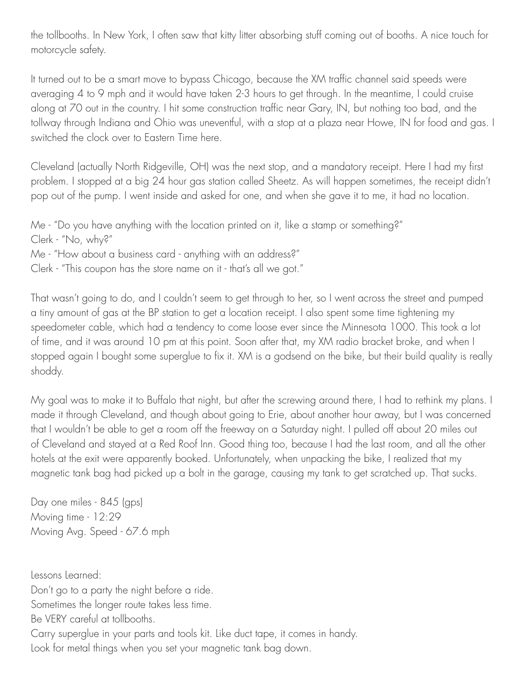the tollbooths. In New York, I often saw that kitty litter absorbing stuff coming out of booths. A nice touch for motorcycle safety.

It turned out to be a smart move to bypass Chicago, because the XM traffic channel said speeds were averaging 4 to 9 mph and it would have taken 2-3 hours to get through. In the meantime, I could cruise along at 70 out in the country. I hit some construction traffic near Gary, IN, but nothing too bad, and the tollway through Indiana and Ohio was uneventful, with a stop at a plaza near Howe, IN for food and gas. I switched the clock over to Eastern Time here.

Cleveland (actually North Ridgeville, OH) was the next stop, and a mandatory receipt. Here I had my first problem. I stopped at a big 24 hour gas station called Sheetz. As will happen sometimes, the receipt didn't pop out of the pump. I went inside and asked for one, and when she gave it to me, it had no location.

Me - "Do you have anything with the location printed on it, like a stamp or something?" Clerk - "No, why?" Me - "How about a business card - anything with an address?" Clerk - "This coupon has the store name on it - that's all we got."

That wasn't going to do, and I couldn't seem to get through to her, so I went across the street and pumped a tiny amount of gas at the BP station to get a location receipt. I also spent some time tightening my speedometer cable, which had a tendency to come loose ever since the Minnesota 1000. This took a lot of time, and it was around 10 pm at this point. Soon after that, my XM radio bracket broke, and when I stopped again I bought some superglue to fix it. XM is a godsend on the bike, but their build quality is really shoddy.

My goal was to make it to Buffalo that night, but after the screwing around there, I had to rethink my plans. I made it through Cleveland, and though about going to Erie, about another hour away, but I was concerned that I wouldn't be able to get a room off the freeway on a Saturday night. I pulled off about 20 miles out of Cleveland and stayed at a Red Roof Inn. Good thing too, because I had the last room, and all the other hotels at the exit were apparently booked. Unfortunately, when unpacking the bike, I realized that my magnetic tank bag had picked up a bolt in the garage, causing my tank to get scratched up. That sucks.

Day one miles - 845 (gps) Moving time - 12:29 Moving Avg. Speed - 67.6 mph

Lessons Learned: Don't go to a party the night before a ride. Sometimes the longer route takes less time. Be VERY careful at tollbooths. Carry superglue in your parts and tools kit. Like duct tape, it comes in handy. Look for metal things when you set your magnetic tank bag down.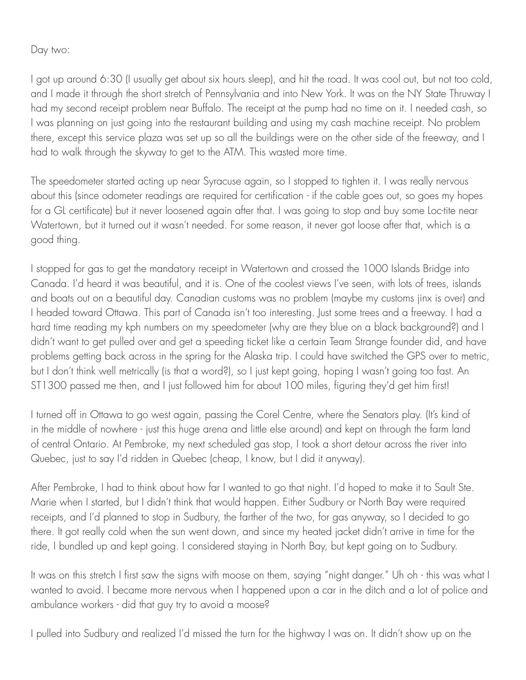Day two:

I got up around 6:30 (I usually get about six hours sleep), and hit the road. It was cool out, but not too cold, and I made it through the short stretch of Pennsylvania and into New York. It was on the NY State Thruway I had my second receipt problem near Buffalo. The receipt at the pump had no time on it. I needed cash, so I was planning on just going into the restaurant building and using my cash machine receipt. No problem there, except this service plaza was set up so all the buildings were on the other side of the freeway, and I had to walk through the skyway to get to the ATM. This wasted more time.

The speedometer started acting up near Syracuse again, so I stopped to tighten it. I was really nervous about this (since odometer readings are required for certification - if the cable goes out, so goes my hopes for a GL certificate) but it never loosened again after that. I was going to stop and buy some Loc-tite near Watertown, but it turned out it wasn't needed. For some reason, it never got loose after that, which is a good thing.

I stopped for gas to get the mandatory receipt in Watertown and crossed the 1000 Islands Bridge into Canada. I'd heard it was beautiful, and it is. One of the coolest views I've seen, with lots of trees, islands and boats out on a beautiful day. Canadian customs was no problem (maybe my customs jinx is over) and I headed toward Ottawa. This part of Canada isn't too interesting. Just some trees and a freeway. I had a hard time reading my kph numbers on my speedometer (why are they blue on a black background?) and I didn't want to get pulled over and get a speeding ticket like a certain Team Strange founder did, and have problems getting back across in the spring for the Alaska trip. I could have switched the GPS over to metric, but I don't think well metrically (is that a word?), so I just kept going, hoping I wasn't going too fast. An ST1300 passed me then, and I just followed him for about 100 miles, figuring they'd get him first!

I turned off in Ottawa to go west again, passing the Corel Centre, where the Senators play. (It's kind of in the middle of nowhere - just this huge arena and little else around) and kept on through the farm land of central Ontario. At Pembroke, my next scheduled gas stop, I took a short detour across the river into Quebec, just to say I'd ridden in Quebec (cheap, I know, but I did it anyway).

After Pembroke, I had to think about how far I wanted to go that night. I'd hoped to make it to Sault Ste. Marie when I started, but I didn't think that would happen. Either Sudbury or North Bay were required receipts, and I'd planned to stop in Sudbury, the farther of the two, for gas anyway, so I decided to go there. It got really cold when the sun went down, and since my heated jacket didn't arrive in time for the ride, I bundled up and kept going. I considered staying in North Bay, but kept going on to Sudbury.

It was on this stretch I first saw the signs with moose on them, saying "night danger." Uh oh - this was what I wanted to avoid. I became more nervous when I happened upon a car in the ditch and a lot of police and ambulance workers - did that guy try to avoid a moose?

I pulled into Sudbury and realized I'd missed the turn for the highway I was on. It didn't show up on the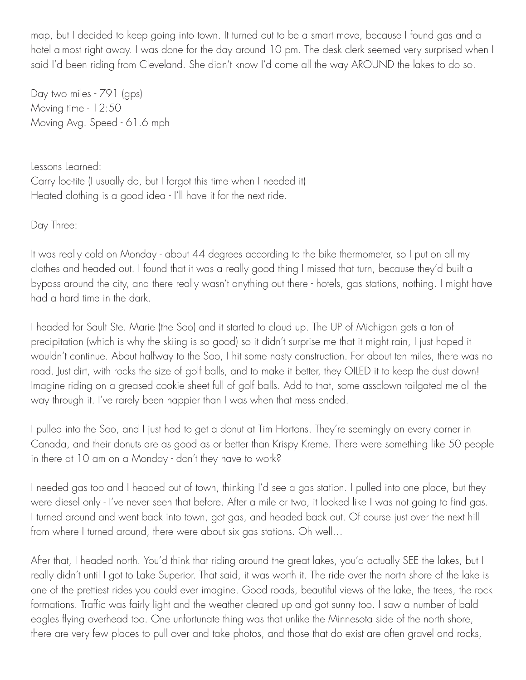map, but I decided to keep going into town. It turned out to be a smart move, because I found gas and a hotel almost right away. I was done for the day around 10 pm. The desk clerk seemed very surprised when I said I'd been riding from Cleveland. She didn't know I'd come all the way AROUND the lakes to do so.

Day two miles - 791 (gps) Moving time - 12:50 Moving Avg. Speed - 61.6 mph

Lessons Learned: Carry loc-tite (I usually do, but I forgot this time when I needed it) Heated clothing is a good idea - I'll have it for the next ride.

Day Three:

It was really cold on Monday - about 44 degrees according to the bike thermometer, so I put on all my clothes and headed out. I found that it was a really good thing I missed that turn, because they'd built a bypass around the city, and there really wasn't anything out there - hotels, gas stations, nothing. I might have had a hard time in the dark.

I headed for Sault Ste. Marie (the Soo) and it started to cloud up. The UP of Michigan gets a ton of precipitation (which is why the skiing is so good) so it didn't surprise me that it might rain, I just hoped it wouldn't continue. About halfway to the Soo, I hit some nasty construction. For about ten miles, there was no road. Just dirt, with rocks the size of golf balls, and to make it better, they OILED it to keep the dust down! Imagine riding on a greased cookie sheet full of golf balls. Add to that, some assclown tailgated me all the way through it. I've rarely been happier than I was when that mess ended.

I pulled into the Soo, and I just had to get a donut at Tim Hortons. They're seemingly on every corner in Canada, and their donuts are as good as or better than Krispy Kreme. There were something like 50 people in there at 10 am on a Monday - don't they have to work?

I needed gas too and I headed out of town, thinking I'd see a gas station. I pulled into one place, but they were diesel only - I've never seen that before. After a mile or two, it looked like I was not going to find gas. I turned around and went back into town, got gas, and headed back out. Of course just over the next hill from where I turned around, there were about six gas stations. Oh well…

After that, I headed north. You'd think that riding around the great lakes, you'd actually SEE the lakes, but I really didn't until I got to Lake Superior. That said, it was worth it. The ride over the north shore of the lake is one of the prettiest rides you could ever imagine. Good roads, beautiful views of the lake, the trees, the rock formations. Traffic was fairly light and the weather cleared up and got sunny too. I saw a number of bald eagles flying overhead too. One unfortunate thing was that unlike the Minnesota side of the north shore, there are very few places to pull over and take photos, and those that do exist are often gravel and rocks,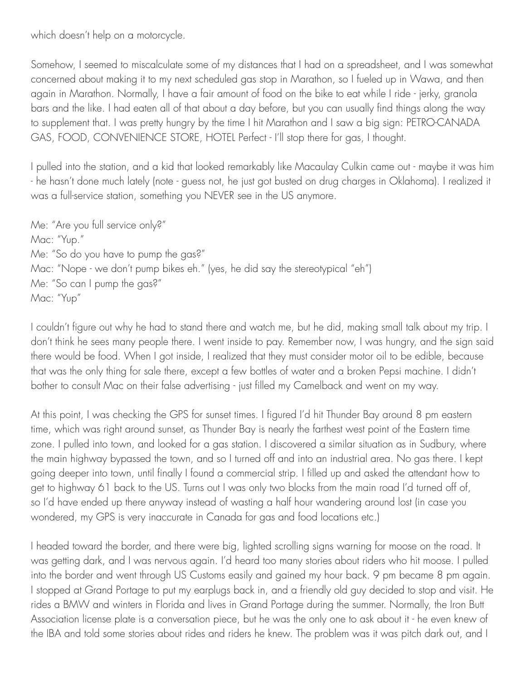which doesn't help on a motorcycle.

Somehow, I seemed to miscalculate some of my distances that I had on a spreadsheet, and I was somewhat concerned about making it to my next scheduled gas stop in Marathon, so I fueled up in Wawa, and then again in Marathon. Normally, I have a fair amount of food on the bike to eat while I ride - jerky, granola bars and the like. I had eaten all of that about a day before, but you can usually find things along the way to supplement that. I was pretty hungry by the time I hit Marathon and I saw a big sign: PETRO-CANADA GAS, FOOD, CONVENIENCE STORE, HOTEL Perfect - I'll stop there for gas, I thought.

I pulled into the station, and a kid that looked remarkably like Macaulay Culkin came out - maybe it was him - he hasn't done much lately (note - guess not, he just got busted on drug charges in Oklahoma). I realized it was a full-service station, something you NEVER see in the US anymore.

Me: "Are you full service only?" Mac: "Yup." Me: "So do you have to pump the gas?" Mac: "Nope - we don't pump bikes eh." (yes, he did say the stereotypical "eh") Me: "So can I pump the gas?" Mac: "Yup"

I couldn't figure out why he had to stand there and watch me, but he did, making small talk about my trip. I don't think he sees many people there. I went inside to pay. Remember now, I was hungry, and the sign said there would be food. When I got inside, I realized that they must consider motor oil to be edible, because that was the only thing for sale there, except a few bottles of water and a broken Pepsi machine. I didn't bother to consult Mac on their false advertising - just filled my Camelback and went on my way.

At this point, I was checking the GPS for sunset times. I figured I'd hit Thunder Bay around 8 pm eastern time, which was right around sunset, as Thunder Bay is nearly the farthest west point of the Eastern time zone. I pulled into town, and looked for a gas station. I discovered a similar situation as in Sudbury, where the main highway bypassed the town, and so I turned off and into an industrial area. No gas there. I kept going deeper into town, until finally I found a commercial strip. I filled up and asked the attendant how to get to highway 61 back to the US. Turns out I was only two blocks from the main road I'd turned off of, so I'd have ended up there anyway instead of wasting a half hour wandering around lost (in case you wondered, my GPS is very inaccurate in Canada for gas and food locations etc.)

I headed toward the border, and there were big, lighted scrolling signs warning for moose on the road. It was getting dark, and I was nervous again. I'd heard too many stories about riders who hit moose. I pulled into the border and went through US Customs easily and gained my hour back. 9 pm became 8 pm again. I stopped at Grand Portage to put my earplugs back in, and a friendly old guy decided to stop and visit. He rides a BMW and winters in Florida and lives in Grand Portage during the summer. Normally, the Iron Butt Association license plate is a conversation piece, but he was the only one to ask about it - he even knew of the IBA and told some stories about rides and riders he knew. The problem was it was pitch dark out, and I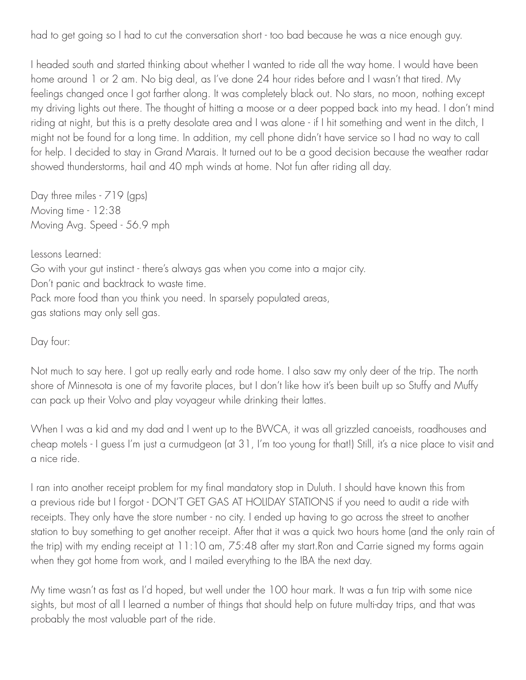had to get going so I had to cut the conversation short - too bad because he was a nice enough guy.

I headed south and started thinking about whether I wanted to ride all the way home. I would have been home around 1 or 2 am. No big deal, as I've done 24 hour rides before and I wasn't that tired. My feelings changed once I got farther along. It was completely black out. No stars, no moon, nothing except my driving lights out there. The thought of hitting a moose or a deer popped back into my head. I don't mind riding at night, but this is a pretty desolate area and I was alone - if I hit something and went in the ditch, I might not be found for a long time. In addition, my cell phone didn't have service so I had no way to call for help. I decided to stay in Grand Marais. It turned out to be a good decision because the weather radar showed thunderstorms, hail and 40 mph winds at home. Not fun after riding all day.

Day three miles - 719 (gps) Moving time - 12:38 Moving Avg. Speed - 56.9 mph

Lessons Learned:

Go with your gut instinct - there's always gas when you come into a major city. Don't panic and backtrack to waste time. Pack more food than you think you need. In sparsely populated areas, gas stations may only sell gas.

Day four:

Not much to say here. I got up really early and rode home. I also saw my only deer of the trip. The north shore of Minnesota is one of my favorite places, but I don't like how it's been built up so Stuffy and Muffy can pack up their Volvo and play voyageur while drinking their lattes.

When I was a kid and my dad and I went up to the BWCA, it was all grizzled canoeists, roadhouses and cheap motels - I guess I'm just a curmudgeon (at 31, I'm too young for that!) Still, it's a nice place to visit and a nice ride.

I ran into another receipt problem for my final mandatory stop in Duluth. I should have known this from a previous ride but I forgot - DON'T GET GAS AT HOLIDAY STATIONS if you need to audit a ride with receipts. They only have the store number - no city. I ended up having to go across the street to another station to buy something to get another receipt. After that it was a quick two hours home (and the only rain of the trip) with my ending receipt at 11:10 am, 75:48 after my start.Ron and Carrie signed my forms again when they got home from work, and I mailed everything to the IBA the next day.

My time wasn't as fast as I'd hoped, but well under the 100 hour mark. It was a fun trip with some nice sights, but most of all I learned a number of things that should help on future multi-day trips, and that was probably the most valuable part of the ride.